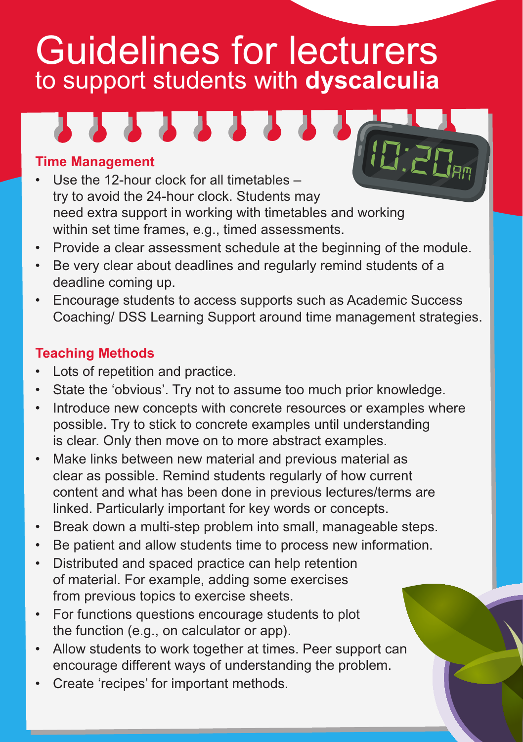# Guidelines for lecturers to support students with **dyscalculia**



## **Time Management**

- Use the 12-hour clock for all timetables try to avoid the 24-hour clock. Students may need extra support in working with timetables and working within set time frames, e.g., timed assessments.
- Provide a clear assessment schedule at the beginning of the module.
- Be very clear about deadlines and regularly remind students of a deadline coming up.
- Encourage students to access supports such as Academic Success Coaching/ DSS Learning Support around time management strategies.

## **Teaching Methods**

- Lots of repetition and practice.
- State the 'obvious'. Try not to assume too much prior knowledge.
- Introduce new concepts with concrete resources or examples where possible. Try to stick to concrete examples until understanding is clear. Only then move on to more abstract examples.
- Make links between new material and previous material as clear as possible. Remind students regularly of how current content and what has been done in previous lectures/terms are linked. Particularly important for key words or concepts.
- Break down a multi-step problem into small, manageable steps.
- Be patient and allow students time to process new information.
- Distributed and spaced practice can help retention of material. For example, adding some exercises from previous topics to exercise sheets.
- For functions questions encourage students to plot the function (e.g., on calculator or app).
- Allow students to work together at times. Peer support can encourage different ways of understanding the problem.
- Create 'recipes' for important methods.